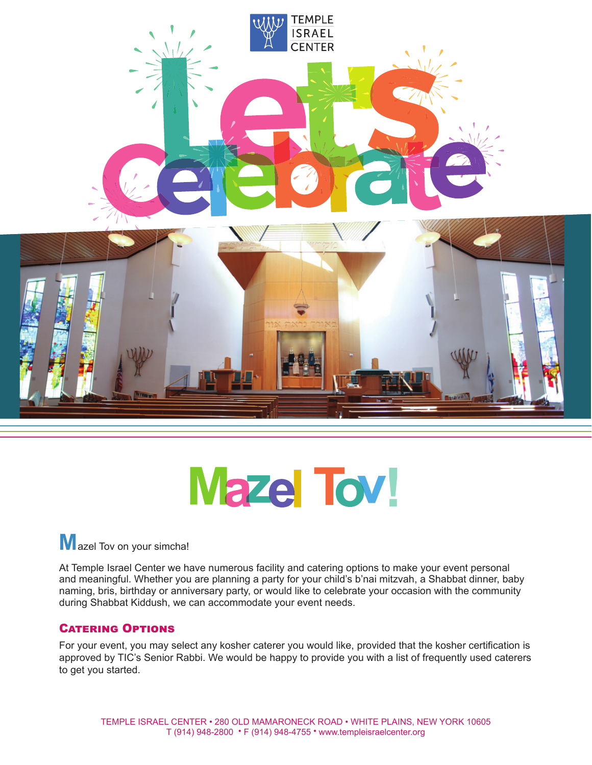

# **Mazel Tov!**

**M**azel Tov on your simcha!

At Temple Israel Center we have numerous facility and catering options to make your event personal and meaningful. Whether you are planning a party for your child's b'nai mitzvah, a Shabbat dinner, baby naming, bris, birthday or anniversary party, or would like to celebrate your occasion with the community during Shabbat Kiddush, we can accommodate your event needs.

## CATERING OPTIONS

For your event, you may select any kosher caterer you would like, provided that the kosher certification is approved by TIC's Senior Rabbi. We would be happy to provide you with a list of frequently used caterers to get you started.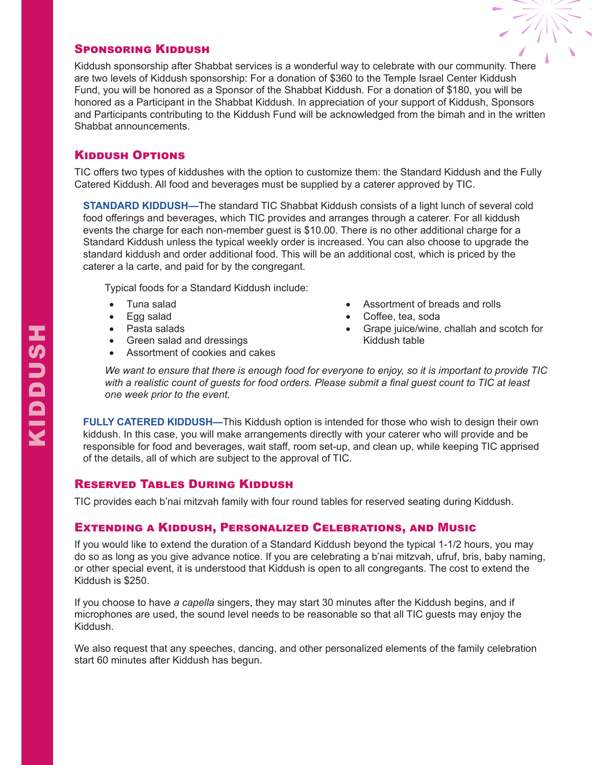## SPONSORING KIDDUSH

Kiddush sponsorship after Shabbat services is a wonderful way to celebrate with our community. There are two levels of Kiddush sponsorship: For a donation of \$360 to the Temple Israel Center Kiddush Fund, you will be honored as a Sponsor of the Shabbat Kiddush. For a donation of \$180, you will be honored as a Participant in the Shabbat Kiddush. In appreciation of your support of Kiddush, Sponsors and Participants contributing to the Kiddush Fund will be acknowledged from the bimah and in the written Shabbat announcements.

## KIDDUSH OPTIONS

TIC offers two types of kiddushes with the option to customize them: the Standard Kiddush and the Fully Catered Kiddush. All food and beverages must be supplied by a caterer approved by TIC.

**STANDARD KIDDUSH—**The standard TIC Shabbat Kiddush consists of a light lunch of several cold food offerings and beverages, which TIC provides and arranges through a caterer. For all kiddush events the charge for each non-member guest is \$10.00. There is no other additional charge for a Standard Kiddush unless the typical weekly order is increased. You can also choose to upgrade the standard kiddush and order additional food. This will be an additional cost, which is priced by the caterer a la carte, and paid for by the congregant.

Typical foods for a Standard Kiddush include:

- Tuna salad
- Egg salad
- Pasta salads
- Green salad and dressings
- Assortment of cookies and cakes
- Assortment of breads and rolls
- Coffee, tea, soda
- Grape juice/wine, challah and scotch for Kiddush table

*We want to ensure that there is enough food for everyone to enjoy, so it is important to provide TIC*  with a realistic count of guests for food orders. Please submit a final guest count to TIC at least *one week prior to the event.*

**FULLY CATERED KIDDUSH—**This Kiddush option is intended for those who wish to design their own kiddush. In this case, you will make arrangements directly with your caterer who will provide and be responsible for food and beverages, wait staff, room set-up, and clean up, while keeping TIC apprised of the details, all of which are subject to the approval of TIC.

## RESERVED TABLES DURING KIDDUSH

TIC provides each b'nai mitzvah family with four round tables for reserved seating during Kiddush.

## EXTENDING A KIDDUSH, PERSONALIZED CELEBRATIONS, AND MUSIC

If you would like to extend the duration of a Standard Kiddush beyond the typical 1-1/2 hours, you may do so as long as you give advance notice. If you are celebrating a b'nai mitzvah, ufruf, bris, baby naming, or other special event, it is understood that Kiddush is open to all congregants. The cost to extend the Kiddush is \$250.

If you choose to have *a capella* singers, they may start 30 minutes after the Kiddush begins, and if microphones are used, the sound level needs to be reasonable so that all TIC guests may enjoy the Kiddush.

We also request that any speeches, dancing, and other personalized elements of the family celebration start 60 minutes after Kiddush has begun.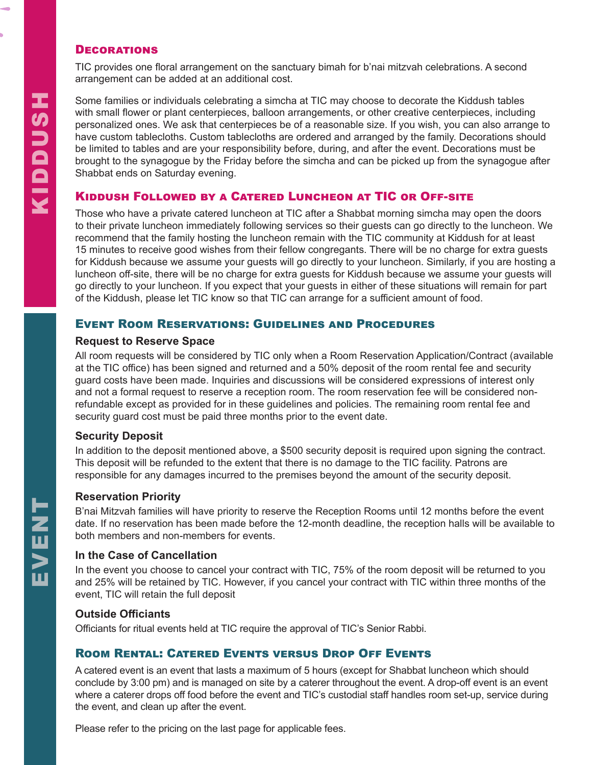#### DECORATIONS

TIC provides one floral arrangement on the sanctuary bimah for b'nai mitzvah celebrations. A second arrangement can be added at an additional cost.

Some families or individuals celebrating a simcha at TIC may choose to decorate the Kiddush tables with small flower or plant centerpieces, balloon arrangements, or other creative centerpieces, including personalized ones. We ask that centerpieces be of a reasonable size. If you wish, you can also arrange to have custom tablecloths. Custom tablecloths are ordered and arranged by the family. Decorations should be limited to tables and are your responsibility before, during, and after the event. Decorations must be brought to the synagogue by the Friday before the simcha and can be picked up from the synagogue after Shabbat ends on Saturday evening.

## KIDDUSH FOLLOWED BY A CATERED LUNCHEON AT TIC OR OFF-SITE

Those who have a private catered luncheon at TIC after a Shabbat morning simcha may open the doors to their private luncheon immediately following services so their guests can go directly to the luncheon. We recommend that the family hosting the luncheon remain with the TIC community at Kiddush for at least 15 minutes to receive good wishes from their fellow congregants. There will be no charge for extra guests for Kiddush because we assume your guests will go directly to your luncheon. Similarly, if you are hosting a luncheon off -site, there will be no charge for extra guests for Kiddush because we assume your guests will go directly to your luncheon. If you expect that your guests in either of these situations will remain for part of the Kiddush, please let TIC know so that TIC can arrange for a sufficient amount of food.

## EVENT ROOM RESERVATIONS: GUIDELINES AND PROCEDURES

#### **Request to Reserve Space**

All room requests will be considered by TIC only when a Room Reservation Application/Contract (available at the TIC office) has been signed and returned and a 50% deposit of the room rental fee and security guard costs have been made. Inquiries and discussions will be considered expressions of interest only and not a formal request to reserve a reception room. The room reservation fee will be considered nonrefundable except as provided for in these guidelines and policies. The remaining room rental fee and security guard cost must be paid three months prior to the event date.

#### **Security Deposit**

In addition to the deposit mentioned above, a \$500 security deposit is required upon signing the contract. This deposit will be refunded to the extent that there is no damage to the TIC facility. Patrons are responsible for any damages incurred to the premises beyond the amount of the security deposit.

#### **Reservation Priority**

B'nai Mitzvah families will have priority to reserve the Reception Rooms until 12 months before the event date. If no reservation has been made before the 12-month deadline, the reception halls will be available to both members and non-members for events.

#### **In the Case of Cancellation**

In the event you choose to cancel your contract with TIC, 75% of the room deposit will be returned to you and 25% will be retained by TIC. However, if you cancel your contract with TIC within three months of the event, TIC will retain the full deposit

#### **Outside Officiants**

Officiants for ritual events held at TIC require the approval of TIC's Senior Rabbi.

## ROOM RENTAL: CATERED EVENTS VERSUS DROP OFF EVENTS

A catered event is an event that lasts a maximum of 5 hours (except for Shabbat luncheon which should conclude by 3:00 pm) and is managed on site by a caterer throughout the event. A drop-off event is an event where a caterer drops off food before the event and TIC's custodial staff handles room set-up, service during the event, and clean up after the event.

Please refer to the pricing on the last page for applicable fees.

**HZ<br>EVENT** 

EVENT